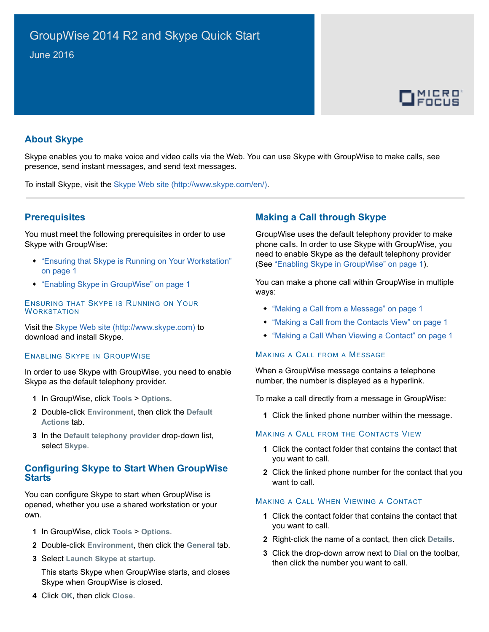

# **About Skype**

Skype enables you to make voice and video calls via the Web. You can use Skype with GroupWise to make calls, see presence, send instant messages, and send text messages.

To install Skype, visit the [Skype Web site](http://www.skype.com/en/) (http://www.skype.com/en/).

### <span id="page-0-5"></span>**Prerequisites**

You must meet the following prerequisites in order to use Skype with GroupWise:

- ["Ensuring that Skype is Running on Your Workstation"](#page-0-4)  [on page 1](#page-0-4)
- ["Enabling Skype in GroupWise" on page 1](#page-0-3)

<span id="page-0-4"></span>ENSURING THAT SKYPE IS RUNNING ON YOUR **WORKSTATION** 

Visit the [Skype Web site](http://www.skype.com) (http://www.skype.com) to download and install Skype.

#### <span id="page-0-3"></span>ENABLING SKYPE IN GROUPWISE

In order to use Skype with GroupWise, you need to enable Skype as the default telephony provider.

- **1** In GroupWise, click **Tools** > **Options**.
- **2** Double-click **Environment**, then click the **Default Actions** tab.
- **3** In the **Default telephony provider** drop-down list, select **Skype**.

### **Configuring Skype to Start When GroupWise Starts**

You can configure Skype to start when GroupWise is opened, whether you use a shared workstation or your own.

- **1** In GroupWise, click **Tools** > **Options**.
- **2** Double-click **Environment**, then click the **General** tab.
- **3** Select **Launch Skype at startup**.

This starts Skype when GroupWise starts, and closes Skype when GroupWise is closed.

## **Making a Call through Skype**

GroupWise uses the default telephony provider to make phone calls. In order to use Skype with GroupWise, you need to enable Skype as the default telephony provider (See ["Enabling Skype in GroupWise" on page 1](#page-0-3)).

You can make a phone call within GroupWise in multiple ways:

- ["Making a Call from a Message" on page 1](#page-0-0)
- ["Making a Call from the Contacts View" on page 1](#page-0-1)
- ["Making a Call When Viewing a Contact" on page 1](#page-0-2)

#### <span id="page-0-0"></span>MAKING A CALL FROM A MESSAGE

When a GroupWise message contains a telephone number, the number is displayed as a hyperlink.

To make a call directly from a message in GroupWise:

**1** Click the linked phone number within the message.

#### <span id="page-0-1"></span>MAKING A CALL FROM THE CONTACTS VIEW

- **1** Click the contact folder that contains the contact that you want to call.
- **2** Click the linked phone number for the contact that you want to call.

#### <span id="page-0-2"></span>MAKING A CALL WHEN VIEWING A CONTACT

- **1** Click the contact folder that contains the contact that you want to call.
- **2** Right-click the name of a contact, then click **Details**.
- **3** Click the drop-down arrow next to **Dial** on the toolbar, then click the number you want to call.

**4** Click **OK**, then click **Close**.